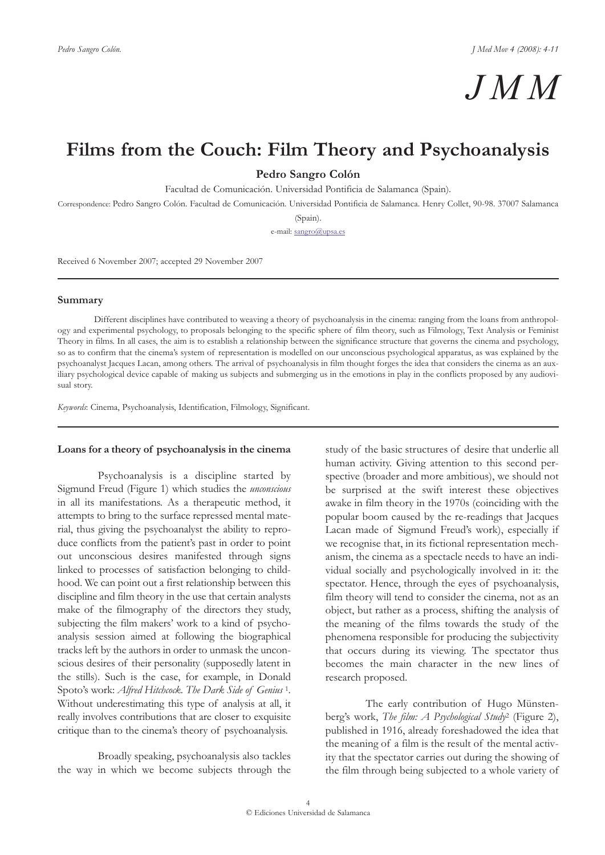*JMM*

# **Films from the Couch: Film Theory and Psychoanalysis**

**Pedro Sangro Colón**

Facultad de Comunicación. Universidad Pontificia de Salamanca (Spain).

Correspondence: Pedro Sangro Colón. Facultad de Comunicación. Universidad Pontificia de Salamanca. Henry Collet, 90-98. 37007 Salamanca

(Spain).

e-mail: sangro@upsa.es

Received 6 November 2007; accepted 29 November 2007

### **Summary**

Different disciplines have contributed to weaving a theory of psychoanalysis in the cinema: ranging from the loans from anthropology and experimental psychology, to proposals belonging to the specific sphere of film theory, such as Filmology, Text Analysis or Feminist Theory in films. In all cases, the aim is to establish a relationship between the significance structure that governs the cinema and psychology, so as to confirm that the cinema's system of representation is modelled on our unconscious psychological apparatus, as was explained by the psychoanalyst Jacques Lacan, among others. The arrival of psychoanalysis in film thought forges the idea that considers the cinema as an auxiliary psychological device capable of making us subjects and submerging us in the emotions in play in the conflicts proposed by any audiovisual story.

*Keywords*: Cinema, Psychoanalysis, Identification, Filmology, Significant.

### **Loans for a theory of psychoanalysis in the cinema**

Psychoanalysis is a discipline started by Sigmund Freud (Figure 1) which studies the *unconscious* in all its manifestations. As a therapeutic method, it attempts to bring to the surface repressed mental material, thus giving the psychoanalyst the ability to reproduce conflicts from the patient's past in order to point out unconscious desires manifested through signs linked to processes of satisfaction belonging to childhood. We can point out a first relationship between this discipline and film theory in the use that certain analysts make of the filmography of the directors they study, subjecting the film makers' work to a kind of psychoanalysis session aimed at following the biographical tracks left by the authors in order to unmask the unconscious desires of their personality (supposedly latent in the stills). Such is the case, for example, in Donald Spoto's work: *Alfred Hitchcock. The Dark Side of Genius* 1. Without underestimating this type of analysis at all, it really involves contributions that are closer to exquisite critique than to the cinema's theory of psychoanalysis.

Broadly speaking, psychoanalysis also tackles the way in which we become subjects through the

study of the basic structures of desire that underlie all human activity. Giving attention to this second perspective (broader and more ambitious), we should not be surprised at the swift interest these objectives awake in film theory in the 1970s (coinciding with the popular boom caused by the re-readings that Jacques Lacan made of Sigmund Freud's work), especially if we recognise that, in its fictional representation mechanism, the cinema as a spectacle needs to have an individual socially and psychologically involved in it: the spectator. Hence, through the eyes of psychoanalysis, film theory will tend to consider the cinema, not as an object, but rather as a process, shifting the analysis of the meaning of the films towards the study of the phenomena responsible for producing the subjectivity that occurs during its viewing. The spectator thus becomes the main character in the new lines of research proposed.

The early contribution of Hugo Münstenberg's work, *The film: A Psychological Study*<sup>2</sup> (Figure 2), published in 1916, already foreshadowed the idea that the meaning of a film is the result of the mental activity that the spectator carries out during the showing of the film through being subjected to a whole variety of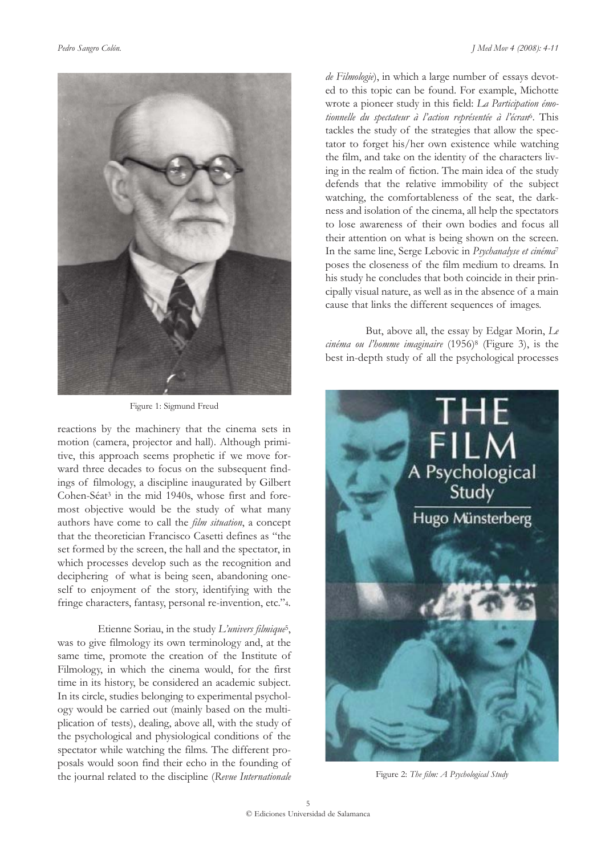



Figure 1: Sigmund Freud

reactions by the machinery that the cinema sets in motion (camera, projector and hall). Although primitive, this approach seems prophetic if we move forward three decades to focus on the subsequent findings of filmology, a discipline inaugurated by Gilbert Cohen-Séat<sup>3</sup> in the mid 1940s, whose first and foremost objective would be the study of what many authors have come to call the *film situation*, a concept that the theoretician Francisco Casetti defines as "the set formed by the screen, the hall and the spectator, in which processes develop such as the recognition and deciphering of what is being seen, abandoning oneself to enjoyment of the story, identifying with the fringe characters, fantasy, personal re-invention, etc."4.

Etienne Soriau, in the study *L'univers filmique*5, was to give filmology its own terminology and, at the same time, promote the creation of the Institute of Filmology, in which the cinema would, for the first time in its history, be considered an academic subject. In its circle, studies belonging to experimental psychology would be carried out (mainly based on the multiplication of tests), dealing, above all, with the study of the psychological and physiological conditions of the spectator while watching the films. The different proposals would soon find their echo in the founding of the journal related to the discipline (*Revue Internationale*

*de Filmologie*), in which a large number of essays devoted to this topic can be found. For example, Michotte wrote a pioneer study in this field: *La Participation émotionnelle du spectateur à l'action représentée à l'écran*6. This tackles the study of the strategies that allow the spectator to forget his/her own existence while watching the film, and take on the identity of the characters living in the realm of fiction. The main idea of the study defends that the relative immobility of the subject watching, the comfortableness of the seat, the darkness and isolation of the cinema, all help the spectators to lose awareness of their own bodies and focus all their attention on what is being shown on the screen. In the same line, Serge Lebovic in *Psychanalyse et cinéma*<sup>7</sup> poses the closeness of the film medium to dreams. In his study he concludes that both coincide in their principally visual nature, as well as in the absence of a main cause that links the different sequences of images.

But, above all, the essay by Edgar Morin, *Le cinéma ou l'homme imaginaire* (1956)8 (Figure 3), is the best in-depth study of all the psychological processes



Figure 2: *The film: A Psychological Study*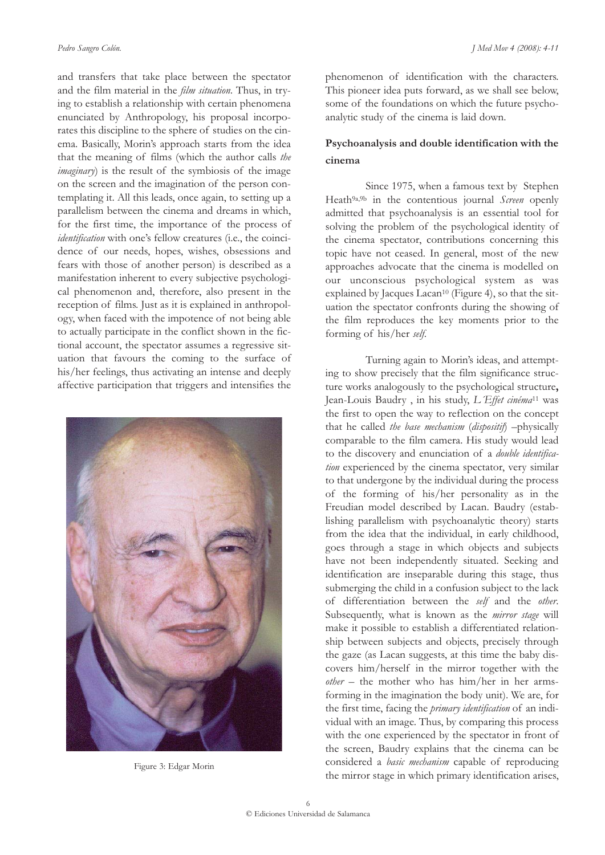and transfers that take place between the spectator and the film material in the *film situation*. Thus, in trying to establish a relationship with certain phenomena enunciated by Anthropology, his proposal incorporates this discipline to the sphere of studies on the cinema. Basically, Morin's approach starts from the idea that the meaning of films (which the author calls *the imaginary*) is the result of the symbiosis of the image on the screen and the imagination of the person contemplating it. All this leads, once again, to setting up a parallelism between the cinema and dreams in which, for the first time, the importance of the process of *identification* with one's fellow creatures (i.e., the coincidence of our needs, hopes, wishes, obsessions and fears with those of another person) is described as a manifestation inherent to every subjective psychological phenomenon and, therefore, also present in the reception of films. Just as it is explained in anthropology, when faced with the impotence of not being able to actually participate in the conflict shown in the fictional account, the spectator assumes a regressive situation that favours the coming to the surface of his/her feelings, thus activating an intense and deeply affective participation that triggers and intensifies the



Figure 3: Edgar Morin

phenomenon of identification with the characters. This pioneer idea puts forward, as we shall see below, some of the foundations on which the future psychoanalytic study of the cinema is laid down.

## **Psychoanalysis and double identification with the cinema**

Since 1975, when a famous text by Stephen Heath9a,9b in the contentious journal *Screen* openly admitted that psychoanalysis is an essential tool for solving the problem of the psychological identity of the cinema spectator, contributions concerning this topic have not ceased. In general, most of the new approaches advocate that the cinema is modelled on our unconscious psychological system as was explained by Jacques Lacan<sup>10</sup> (Figure 4), so that the situation the spectator confronts during the showing of the film reproduces the key moments prior to the forming of his/her *self*.

Turning again to Morin's ideas, and attempting to show precisely that the film significance structure works analogously to the psychological structure**,** Jean-Louis Baudry , in his study, *L´Effet cinéma*<sup>11</sup> was the first to open the way to reflection on the concept that he called *the base mechanism* (*dispositif*) –physically comparable to the film camera. His study would lead to the discovery and enunciation of a *double identification* experienced by the cinema spectator, very similar to that undergone by the individual during the process of the forming of his/her personality as in the Freudian model described by Lacan. Baudry (establishing parallelism with psychoanalytic theory) starts from the idea that the individual, in early childhood, goes through a stage in which objects and subjects have not been independently situated. Seeking and identification are inseparable during this stage, thus submerging the child in a confusion subject to the lack of differentiation between the *self* and the *other*. Subsequently, what is known as the *mirror stage* will make it possible to establish a differentiated relationship between subjects and objects, precisely through the gaze (as Lacan suggests, at this time the baby discovers him/herself in the mirror together with the *other* – the mother who has him/her in her armsforming in the imagination the body unit). We are, for the first time, facing the *primary identification* of an individual with an image. Thus, by comparing this process with the one experienced by the spectator in front of the screen, Baudry explains that the cinema can be considered a *basic mechanism* capable of reproducing the mirror stage in which primary identification arises,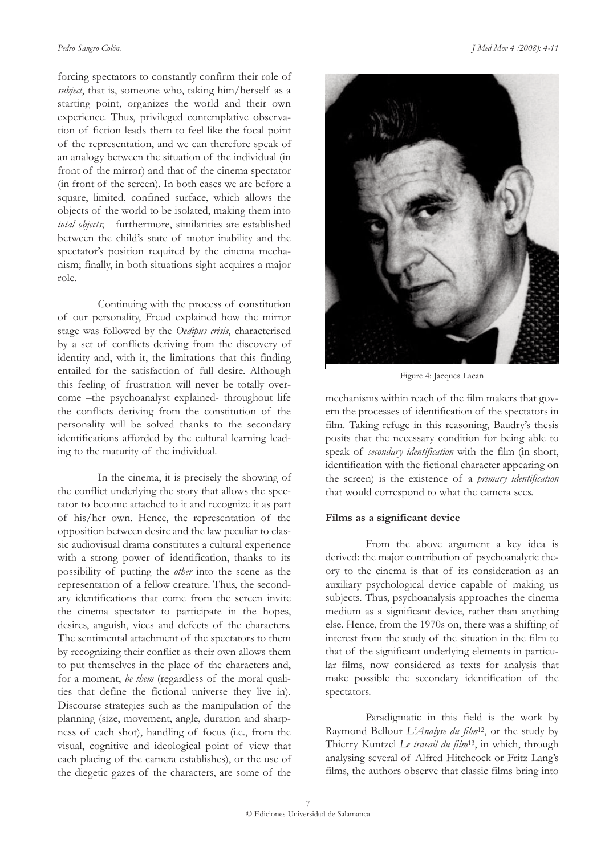forcing spectators to constantly confirm their role of *subject*, that is, someone who, taking him/herself as a starting point, organizes the world and their own experience. Thus, privileged contemplative observation of fiction leads them to feel like the focal point of the representation, and we can therefore speak of an analogy between the situation of the individual (in front of the mirror) and that of the cinema spectator (in front of the screen). In both cases we are before a square, limited, confined surface, which allows the objects of the world to be isolated, making them into *total objects*; furthermore, similarities are established between the child's state of motor inability and the spectator's position required by the cinema mechanism; finally, in both situations sight acquires a major role.

Continuing with the process of constitution of our personality, Freud explained how the mirror stage was followed by the *Oedipus crisis*, characterised by a set of conflicts deriving from the discovery of identity and, with it, the limitations that this finding entailed for the satisfaction of full desire. Although this feeling of frustration will never be totally overcome –the psychoanalyst explained- throughout life the conflicts deriving from the constitution of the personality will be solved thanks to the secondary identifications afforded by the cultural learning leading to the maturity of the individual.

In the cinema, it is precisely the showing of the conflict underlying the story that allows the spectator to become attached to it and recognize it as part of his/her own. Hence, the representation of the opposition between desire and the law peculiar to classic audiovisual drama constitutes a cultural experience with a strong power of identification, thanks to its possibility of putting the *other* into the scene as the representation of a fellow creature. Thus, the secondary identifications that come from the screen invite the cinema spectator to participate in the hopes, desires, anguish, vices and defects of the characters. The sentimental attachment of the spectators to them by recognizing their conflict as their own allows them to put themselves in the place of the characters and, for a moment, *be them* (regardless of the moral qualities that define the fictional universe they live in). Discourse strategies such as the manipulation of the planning (size, movement, angle, duration and sharpness of each shot), handling of focus (i.e., from the visual, cognitive and ideological point of view that each placing of the camera establishes), or the use of the diegetic gazes of the characters, are some of the



Figure 4: Jacques Lacan

mechanisms within reach of the film makers that govern the processes of identification of the spectators in film. Taking refuge in this reasoning, Baudry's thesis posits that the necessary condition for being able to speak of *secondary identification* with the film (in short, identification with the fictional character appearing on the screen) is the existence of a *primary identification* that would correspond to what the camera sees.

### **Films as a significant device**

From the above argument a key idea is derived: the major contribution of psychoanalytic theory to the cinema is that of its consideration as an auxiliary psychological device capable of making us subjects. Thus, psychoanalysis approaches the cinema medium as a significant device, rather than anything else. Hence, from the 1970s on, there was a shifting of interest from the study of the situation in the film to that of the significant underlying elements in particular films, now considered as texts for analysis that make possible the secondary identification of the spectators.

Paradigmatic in this field is the work by Raymond Bellour *L'Analyse du film*12, or the study by Thierry Kuntzel *Le travail du film*13, in which, through analysing several of Alfred Hitchcock or Fritz Lang's films, the authors observe that classic films bring into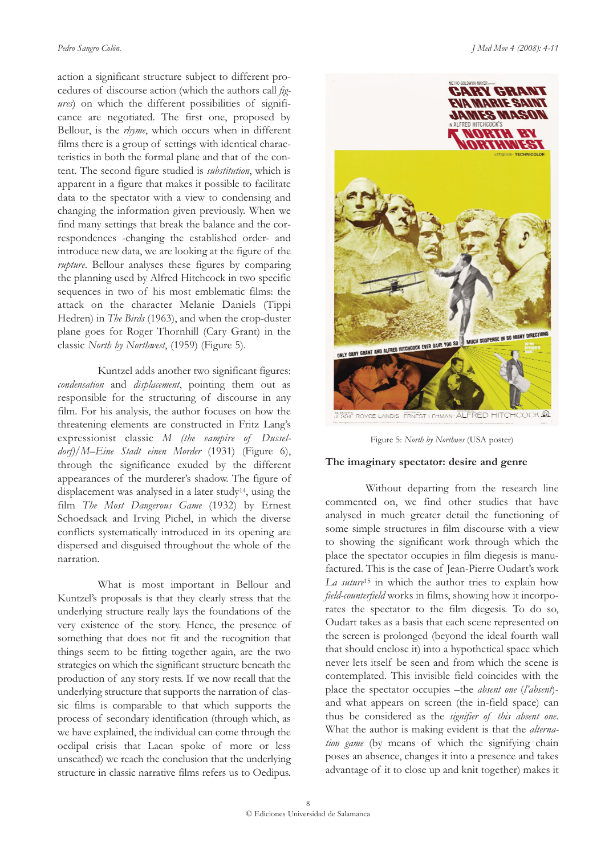action a significant structure subject to different procedures of discourse action (which the authors call *figures*) on which the different possibilities of significance are negotiated. The first one, proposed by Bellour, is the *rhyme*, which occurs when in different films there is a group of settings with identical characteristics in both the formal plane and that of the content. The second figure studied is *substitution*, which is apparent in a figure that makes it possible to facilitate data to the spectator with a view to condensing and changing the information given previously. When we find many settings that break the balance and the correspondences -changing the established order- and introduce new data, we are looking at the figure of the *rupture*. Bellour analyses these figures by comparing the planning used by Alfred Hitchcock in two specific sequences in two of his most emblematic films: the attack on the character Melanie Daniels (Tippi Hedren) in *The Birds* (1963), and when the crop-duster plane goes for Roger Thornhill (Cary Grant) in the classic *North by Northwest*, (1959) (Figure 5).

Kuntzel adds another two significant figures: *condensation* and *displacement*, pointing them out as responsible for the structuring of discourse in any film. For his analysis, the author focuses on how the threatening elements are constructed in Fritz Lang's expressionist classic *M (the vampire of Dusseldorf)/M–Eine Stadt einen Morder* (1931) (Figure 6), through the significance exuded by the different appearances of the murderer's shadow. The figure of displacement was analysed in a later study14, using the film *The Most Dangerous Game* (1932) by Ernest Schoedsack and Irving Pichel, in which the diverse conflicts systematically introduced in its opening are dispersed and disguised throughout the whole of the narration.

What is most important in Bellour and Kuntzel's proposals is that they clearly stress that the underlying structure really lays the foundations of the very existence of the story. Hence, the presence of something that does not fit and the recognition that things seem to be fitting together again, are the two strategies on which the significant structure beneath the production of any story rests. If we now recall that the underlying structure that supports the narration of classic films is comparable to that which supports the process of secondary identification (through which, as we have explained, the individual can come through the oedipal crisis that Lacan spoke of more or less unscathed) we reach the conclusion that the underlying structure in classic narrative films refers us to Oedipus.



Figure 5: *North by Northwes* (USA poster)

### **The imaginary spectator: desire and genre**

Without departing from the research line commented on, we find other studies that have analysed in much greater detail the functioning of some simple structures in film discourse with a view to showing the significant work through which the place the spectator occupies in film diegesis is manufactured. This is the case of Jean-Pierre Oudart's work *La suture*<sup>15</sup> in which the author tries to explain how *field-counterfield* works in films, showing how it incorporates the spectator to the film diegesis. To do so, Oudart takes as a basis that each scene represented on the screen is prolonged (beyond the ideal fourth wall that should enclose it) into a hypothetical space which never lets itself be seen and from which the scene is contemplated. This invisible field coincides with the place the spectator occupies –the *absent one* (*l'absent*) and what appears on screen (the in-field space) can thus be considered as the *signifier of this absent one*. What the author is making evident is that the *alternation game* (by means of which the signifying chain poses an absence, changes it into a presence and takes advantage of it to close up and knit together) makes it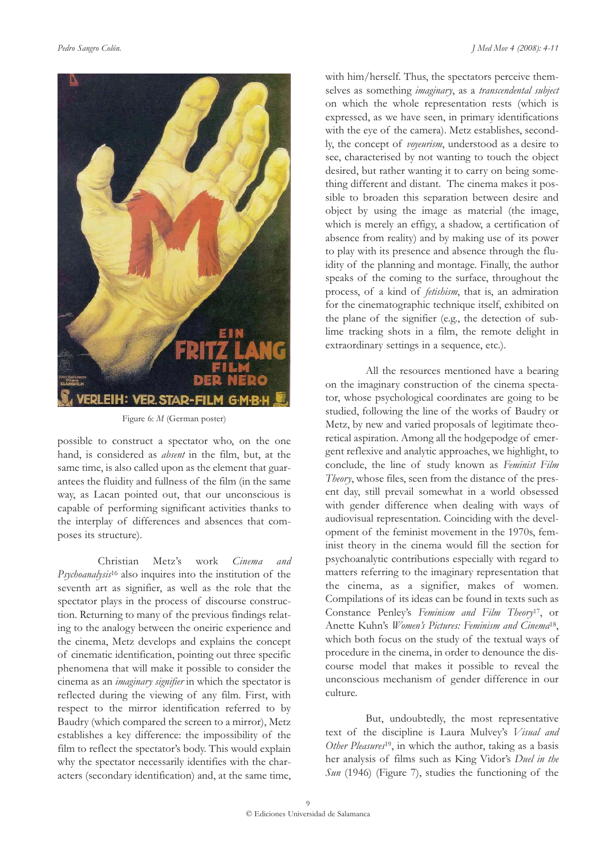

Figure 6: *M* (German poster)

possible to construct a spectator who, on the one hand, is considered as *absent* in the film, but, at the same time, is also called upon as the element that guarantees the fluidity and fullness of the film (in the same way, as Lacan pointed out, that our unconscious is capable of performing significant activities thanks to the interplay of differences and absences that composes its structure).

Christian Metz's work *Cinema and Psychoanalysis*<sup>16</sup> also inquires into the institution of the seventh art as signifier, as well as the role that the spectator plays in the process of discourse construction. Returning to many of the previous findings relating to the analogy between the oneiric experience and the cinema, Metz develops and explains the concept of cinematic identification, pointing out three specific phenomena that will make it possible to consider the cinema as an *imaginary signifier* in which the spectator is reflected during the viewing of any film. First, with respect to the mirror identification referred to by Baudry (which compared the screen to a mirror), Metz establishes a key difference: the impossibility of the film to reflect the spectator's body. This would explain why the spectator necessarily identifies with the characters (secondary identification) and, at the same time, with him/herself. Thus, the spectators perceive themselves as something *imaginary*, as a *transcendental subject* on which the whole representation rests (which is expressed, as we have seen, in primary identifications with the eye of the camera). Metz establishes, secondly, the concept of *voyeurism*, understood as a desire to see, characterised by not wanting to touch the object desired, but rather wanting it to carry on being something different and distant. The cinema makes it possible to broaden this separation between desire and object by using the image as material (the image, which is merely an effigy, a shadow, a certification of absence from reality) and by making use of its power to play with its presence and absence through the fluidity of the planning and montage. Finally, the author speaks of the coming to the surface, throughout the process, of a kind of *fetishism*, that is, an admiration for the cinematographic technique itself, exhibited on the plane of the signifier (e.g., the detection of sublime tracking shots in a film, the remote delight in extraordinary settings in a sequence, etc.).

All the resources mentioned have a bearing on the imaginary construction of the cinema spectator, whose psychological coordinates are going to be studied, following the line of the works of Baudry or Metz, by new and varied proposals of legitimate theoretical aspiration. Among all the hodgepodge of emergent reflexive and analytic approaches, we highlight, to conclude, the line of study known as *Feminist Film Theory*, whose files, seen from the distance of the present day, still prevail somewhat in a world obsessed with gender difference when dealing with ways of audiovisual representation. Coinciding with the development of the feminist movement in the 1970s, feminist theory in the cinema would fill the section for psychoanalytic contributions especially with regard to matters referring to the imaginary representation that the cinema, as a signifier, makes of women. Compilations of its ideas can be found in texts such as Constance Penley's *Feminism and Film Theory*17, or Anette Kuhn's *Women's Pictures: Feminism and Cinema*18, which both focus on the study of the textual ways of procedure in the cinema, in order to denounce the discourse model that makes it possible to reveal the unconscious mechanism of gender difference in our culture.

But, undoubtedly, the most representative text of the discipline is Laura Mulvey's *Visual and Other Pleasures*19, in which the author, taking as a basis her analysis of films such as King Vidor's *Duel in the Sun* (1946) (Figure 7), studies the functioning of the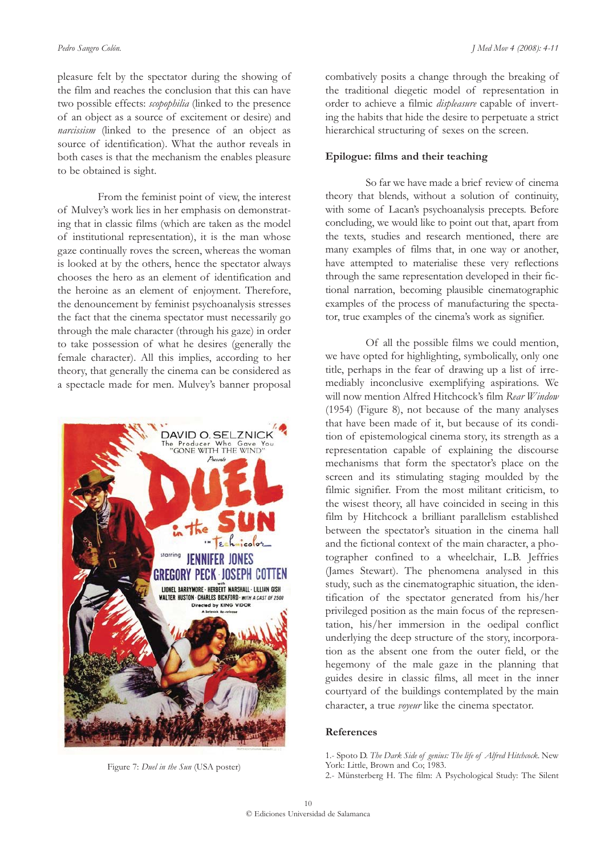pleasure felt by the spectator during the showing of the film and reaches the conclusion that this can have two possible effects: *scopophilia* (linked to the presence of an object as a source of excitement or desire) and *narcissism* (linked to the presence of an object as source of identification). What the author reveals in both cases is that the mechanism the enables pleasure to be obtained is sight.

From the feminist point of view, the interest of Mulvey's work lies in her emphasis on demonstrating that in classic films (which are taken as the model of institutional representation), it is the man whose gaze continually roves the screen, whereas the woman is looked at by the others, hence the spectator always chooses the hero as an element of identification and the heroine as an element of enjoyment. Therefore, the denouncement by feminist psychoanalysis stresses the fact that the cinema spectator must necessarily go through the male character (through his gaze) in order to take possession of what he desires (generally the female character). All this implies, according to her theory, that generally the cinema can be considered as a spectacle made for men. Mulvey's banner proposal



Figure 7: *Duel in the Sun* (USA poster)

combatively posits a change through the breaking of the traditional diegetic model of representation in order to achieve a filmic *displeasure* capable of inverting the habits that hide the desire to perpetuate a strict hierarchical structuring of sexes on the screen.

### **Epilogue: films and their teaching**

So far we have made a brief review of cinema theory that blends, without a solution of continuity, with some of Lacan's psychoanalysis precepts. Before concluding, we would like to point out that, apart from the texts, studies and research mentioned, there are many examples of films that, in one way or another, have attempted to materialise these very reflections through the same representation developed in their fictional narration, becoming plausible cinematographic examples of the process of manufacturing the spectator, true examples of the cinema's work as signifier.

Of all the possible films we could mention, we have opted for highlighting, symbolically, only one title, perhaps in the fear of drawing up a list of irremediably inconclusive exemplifying aspirations. We will now mention Alfred Hitchcock's film *Rear Window* (1954) (Figure 8), not because of the many analyses that have been made of it, but because of its condition of epistemological cinema story, its strength as a representation capable of explaining the discourse mechanisms that form the spectator's place on the screen and its stimulating staging moulded by the filmic signifier. From the most militant criticism, to the wisest theory, all have coincided in seeing in this film by Hitchcock a brilliant parallelism established between the spectator's situation in the cinema hall and the fictional context of the main character, a photographer confined to a wheelchair, L.B. Jeffries (James Stewart). The phenomena analysed in this study, such as the cinematographic situation, the identification of the spectator generated from his/her privileged position as the main focus of the representation, his/her immersion in the oedipal conflict underlying the deep structure of the story, incorporation as the absent one from the outer field, or the hegemony of the male gaze in the planning that guides desire in classic films, all meet in the inner courtyard of the buildings contemplated by the main character, a true *voyeur* like the cinema spectator.

### **References**

1.- Spoto D. *The Dark Side of genius: The life of Alfred Hitchcock*. New York: Little, Brown and Co; 1983.

2.- Münsterberg H. The film: A Psychological Study: The Silent